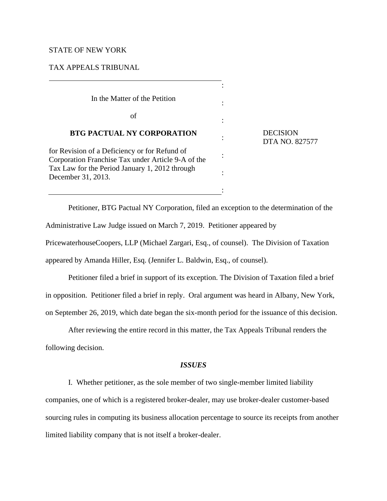### STATE OF NEW YORK

### TAX APPEALS TRIBUNAL

In the Matter of the Petition

of

### **BTG PACTUAL NY CORPORATION**

for Revision of a Deficiency or for Refund of Corporation Franchise Tax under Article 9-A of the Tax Law for the Period January 1, 2012 through December 31, 2013.

 DECISION DTA NO. 827577

Petitioner, BTG Pactual NY Corporation, filed an exception to the determination of the Administrative Law Judge issued on March 7, 2019. Petitioner appeared by

:

:

:

:

:

:

:

PricewaterhouseCoopers, LLP (Michael Zargari, Esq., of counsel). The Division of Taxation

appeared by Amanda Hiller, Esq. (Jennifer L. Baldwin, Esq., of counsel).

Petitioner filed a brief in support of its exception. The Division of Taxation filed a brief in opposition. Petitioner filed a brief in reply. Oral argument was heard in Albany, New York, on September 26, 2019, which date began the six-month period for the issuance of this decision.

After reviewing the entire record in this matter, the Tax Appeals Tribunal renders the following decision.

### *ISSUES*

I. Whether petitioner, as the sole member of two single-member limited liability companies, one of which is a registered broker-dealer, may use broker-dealer customer-based sourcing rules in computing its business allocation percentage to source its receipts from another limited liability company that is not itself a broker-dealer.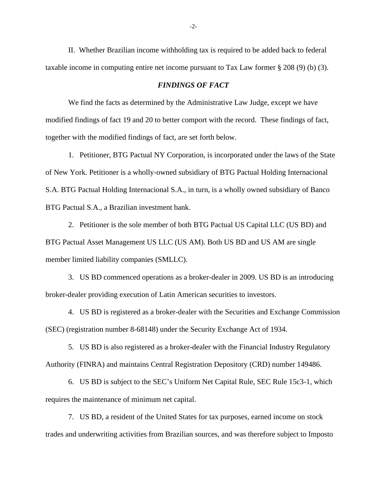II. Whether Brazilian income withholding tax is required to be added back to federal taxable income in computing entire net income pursuant to Tax Law former § 208 (9) (b) (3).

### *FINDINGS OF FACT*

We find the facts as determined by the Administrative Law Judge, except we have modified findings of fact 19 and 20 to better comport with the record. These findings of fact, together with the modified findings of fact, are set forth below.

1. Petitioner, BTG Pactual NY Corporation, is incorporated under the laws of the State of New York. Petitioner is a wholly-owned subsidiary of BTG Pactual Holding Internacional S.A. BTG Pactual Holding Internacional S.A., in turn, is a wholly owned subsidiary of Banco BTG Pactual S.A., a Brazilian investment bank.

2. Petitioner is the sole member of both BTG Pactual US Capital LLC (US BD) and BTG Pactual Asset Management US LLC (US AM). Both US BD and US AM are single member limited liability companies (SMLLC).

3. US BD commenced operations as a broker-dealer in 2009. US BD is an introducing broker-dealer providing execution of Latin American securities to investors.

4. US BD is registered as a broker-dealer with the Securities and Exchange Commission (SEC) (registration number 8-68148) under the Security Exchange Act of 1934.

5. US BD is also registered as a broker-dealer with the Financial Industry Regulatory Authority (FINRA) and maintains Central Registration Depository (CRD) number 149486.

6. US BD is subject to the SEC's Uniform Net Capital Rule, SEC Rule 15c3-1, which requires the maintenance of minimum net capital.

7. US BD, a resident of the United States for tax purposes, earned income on stock trades and underwriting activities from Brazilian sources, and was therefore subject to Imposto

-2-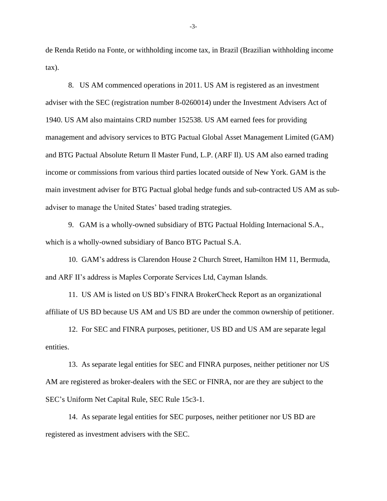de Renda Retido na Fonte, or withholding income tax, in Brazil (Brazilian withholding income tax).

8. US AM commenced operations in 2011. US AM is registered as an investment adviser with the SEC (registration number 8-0260014) under the Investment Advisers Act of 1940. US AM also maintains CRD number 152538. US AM earned fees for providing management and advisory services to BTG Pactual Global Asset Management Limited (GAM) and BTG Pactual Absolute Return Il Master Fund, L.P. (ARF Il). US AM also earned trading income or commissions from various third parties located outside of New York. GAM is the main investment adviser for BTG Pactual global hedge funds and sub-contracted US AM as subadviser to manage the United States' based trading strategies.

9. GAM is a wholly-owned subsidiary of BTG Pactual Holding Internacional S.A., which is a wholly-owned subsidiary of Banco BTG Pactual S.A.

10. GAM's address is Clarendon House 2 Church Street, Hamilton HM 11, Bermuda, and ARF II's address is Maples Corporate Services Ltd, Cayman Islands.

11. US AM is listed on US BD's FINRA BrokerCheck Report as an organizational affiliate of US BD because US AM and US BD are under the common ownership of petitioner.

12. For SEC and FINRA purposes, petitioner, US BD and US AM are separate legal entities.

13. As separate legal entities for SEC and FINRA purposes, neither petitioner nor US AM are registered as broker-dealers with the SEC or FINRA, nor are they are subject to the SEC's Uniform Net Capital Rule, SEC Rule 15c3-1.

14. As separate legal entities for SEC purposes, neither petitioner nor US BD are registered as investment advisers with the SEC.

-3-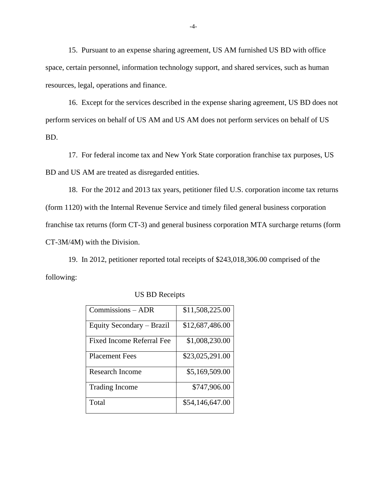15. Pursuant to an expense sharing agreement, US AM furnished US BD with office space, certain personnel, information technology support, and shared services, such as human resources, legal, operations and finance.

16. Except for the services described in the expense sharing agreement, US BD does not perform services on behalf of US AM and US AM does not perform services on behalf of US BD.

17. For federal income tax and New York State corporation franchise tax purposes, US BD and US AM are treated as disregarded entities.

18. For the 2012 and 2013 tax years, petitioner filed U.S. corporation income tax returns (form 1120) with the Internal Revenue Service and timely filed general business corporation franchise tax returns (form CT-3) and general business corporation MTA surcharge returns (form CT-3M/4M) with the Division.

19. In 2012, petitioner reported total receipts of \$243,018,306.00 comprised of the following:

| $Commission - ADR$        | \$11,508,225.00 |
|---------------------------|-----------------|
| Equity Secondary – Brazil | \$12,687,486.00 |
| Fixed Income Referral Fee | \$1,008,230.00  |
| <b>Placement Fees</b>     | \$23,025,291.00 |
| Research Income           | \$5,169,509.00  |
| <b>Trading Income</b>     | \$747,906.00    |
| Total                     | \$54,146,647.00 |

US BD Receipts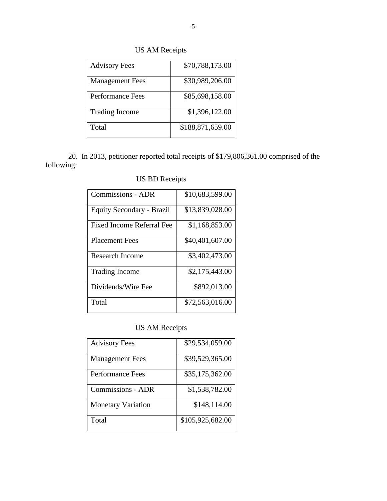# US AM Receipts

| <b>Advisory Fees</b>   | \$70,788,173.00  |
|------------------------|------------------|
| <b>Management Fees</b> | \$30,989,206.00  |
| Performance Fees       | \$85,698,158.00  |
| <b>Trading Income</b>  | \$1,396,122.00   |
| Total                  | \$188,871,659.00 |

20. In 2013, petitioner reported total receipts of \$179,806,361.00 comprised of the following:

| <b>Commissions - ADR</b>  | \$10,683,599.00 |
|---------------------------|-----------------|
| Equity Secondary - Brazil | \$13,839,028.00 |
| Fixed Income Referral Fee | \$1,168,853.00  |
| <b>Placement Fees</b>     | \$40,401,607.00 |
| Research Income           | \$3,402,473.00  |
| <b>Trading Income</b>     | \$2,175,443.00  |
| Dividends/Wire Fee        | \$892,013.00    |
| Total                     | \$72,563,016.00 |

|  |  | <b>US BD Receipts</b> |
|--|--|-----------------------|
|--|--|-----------------------|

# US AM Receipts

| <b>Advisory Fees</b>      | \$29,534,059.00  |
|---------------------------|------------------|
| <b>Management Fees</b>    | \$39,529,365.00  |
| Performance Fees          | \$35,175,362.00  |
| <b>Commissions - ADR</b>  | \$1,538,782.00   |
| <b>Monetary Variation</b> | \$148,114.00     |
| Total                     | \$105,925,682.00 |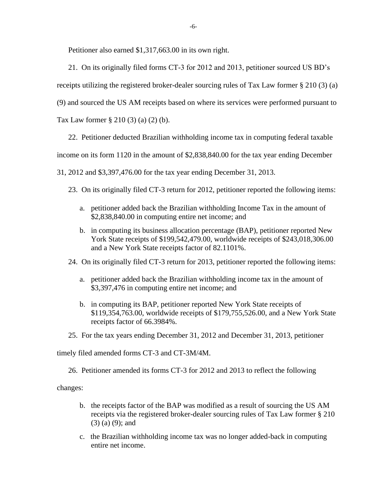Petitioner also earned \$1,317,663.00 in its own right.

21. On its originally filed forms CT-3 for 2012 and 2013, petitioner sourced US BD's

receipts utilizing the registered broker-dealer sourcing rules of Tax Law former § 210 (3) (a)

(9) and sourced the US AM receipts based on where its services were performed pursuant to

Tax Law former § 210 (3) (a) (2) (b).

22. Petitioner deducted Brazilian withholding income tax in computing federal taxable

income on its form 1120 in the amount of \$2,838,840.00 for the tax year ending December

31, 2012 and \$3,397,476.00 for the tax year ending December 31, 2013.

- 23. On its originally filed CT-3 return for 2012, petitioner reported the following items:
	- a. petitioner added back the Brazilian withholding Income Tax in the amount of \$2,838,840.00 in computing entire net income; and
	- b. in computing its business allocation percentage (BAP), petitioner reported New York State receipts of \$199,542,479.00, worldwide receipts of \$243,018,306.00 and a New York State receipts factor of 82.1101%.
- 24. On its originally filed CT-3 return for 2013, petitioner reported the following items:
	- a. petitioner added back the Brazilian withholding income tax in the amount of \$3,397,476 in computing entire net income; and
	- b. in computing its BAP, petitioner reported New York State receipts of \$119,354,763.00, worldwide receipts of \$179,755,526.00, and a New York State receipts factor of 66.3984%.
- 25. For the tax years ending December 31, 2012 and December 31, 2013, petitioner

timely filed amended forms CT-3 and CT-3M/4M.

26. Petitioner amended its forms CT-3 for 2012 and 2013 to reflect the following

changes:

- b. the receipts factor of the BAP was modified as a result of sourcing the US AM receipts via the registered broker-dealer sourcing rules of Tax Law former § 210 (3) (a) (9); and
- c. the Brazilian withholding income tax was no longer added-back in computing entire net income.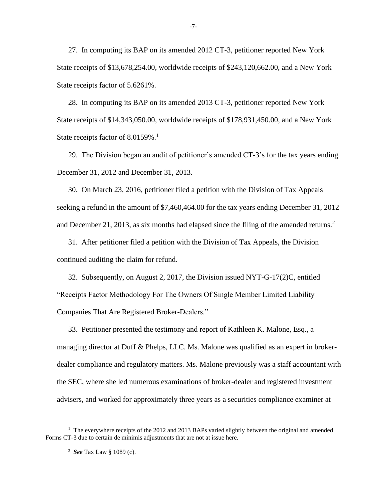27. In computing its BAP on its amended 2012 CT-3, petitioner reported New York State receipts of \$13,678,254.00, worldwide receipts of \$243,120,662.00, and a New York State receipts factor of 5.6261%.

28. In computing its BAP on its amended 2013 CT-3, petitioner reported New York State receipts of \$14,343,050.00, worldwide receipts of \$178,931,450.00, and a New York State receipts factor of 8.0159%.<sup>1</sup>

29. The Division began an audit of petitioner's amended CT-3's for the tax years ending December 31, 2012 and December 31, 2013.

30. On March 23, 2016, petitioner filed a petition with the Division of Tax Appeals seeking a refund in the amount of \$7,460,464.00 for the tax years ending December 31, 2012 and December 21, 2013, as six months had elapsed since the filing of the amended returns.<sup>2</sup>

31. After petitioner filed a petition with the Division of Tax Appeals, the Division continued auditing the claim for refund.

32. Subsequently, on August 2, 2017, the Division issued NYT-G-17(2)C, entitled "Receipts Factor Methodology For The Owners Of Single Member Limited Liability Companies That Are Registered Broker-Dealers."

33. Petitioner presented the testimony and report of Kathleen K. Malone, Esq., a managing director at Duff & Phelps, LLC. Ms. Malone was qualified as an expert in brokerdealer compliance and regulatory matters. Ms. Malone previously was a staff accountant with the SEC, where she led numerous examinations of broker-dealer and registered investment advisers, and worked for approximately three years as a securities compliance examiner at

-7-

<sup>&</sup>lt;sup>1</sup> The everywhere receipts of the 2012 and 2013 BAPs varied slightly between the original and amended Forms CT-3 due to certain de minimis adjustments that are not at issue here.

<sup>2</sup> *See* Tax Law § 1089 (c).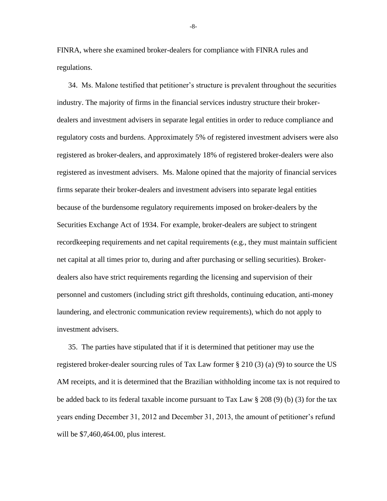FINRA, where she examined broker-dealers for compliance with FINRA rules and regulations.

34. Ms. Malone testified that petitioner's structure is prevalent throughout the securities industry. The majority of firms in the financial services industry structure their brokerdealers and investment advisers in separate legal entities in order to reduce compliance and regulatory costs and burdens. Approximately 5% of registered investment advisers were also registered as broker-dealers, and approximately 18% of registered broker-dealers were also registered as investment advisers. Ms. Malone opined that the majority of financial services firms separate their broker-dealers and investment advisers into separate legal entities because of the burdensome regulatory requirements imposed on broker-dealers by the Securities Exchange Act of 1934. For example, broker-dealers are subject to stringent recordkeeping requirements and net capital requirements (e.g., they must maintain sufficient net capital at all times prior to, during and after purchasing or selling securities). Brokerdealers also have strict requirements regarding the licensing and supervision of their personnel and customers (including strict gift thresholds, continuing education, anti-money laundering, and electronic communication review requirements), which do not apply to investment advisers.

35. The parties have stipulated that if it is determined that petitioner may use the registered broker-dealer sourcing rules of Tax Law former § 210 (3) (a) (9) to source the US AM receipts, and it is determined that the Brazilian withholding income tax is not required to be added back to its federal taxable income pursuant to Tax Law  $\S 208 (9)$  (b) (3) for the tax years ending December 31, 2012 and December 31, 2013, the amount of petitioner's refund will be \$7,460,464.00, plus interest.

-8-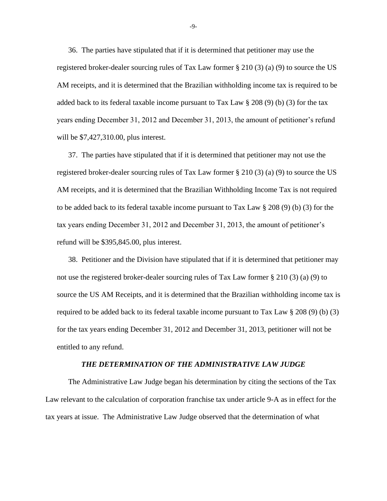36. The parties have stipulated that if it is determined that petitioner may use the registered broker-dealer sourcing rules of Tax Law former § 210 (3) (a) (9) to source the US AM receipts, and it is determined that the Brazilian withholding income tax is required to be added back to its federal taxable income pursuant to Tax Law § 208 (9) (b) (3) for the tax years ending December 31, 2012 and December 31, 2013, the amount of petitioner's refund will be \$7,427,310.00, plus interest.

37. The parties have stipulated that if it is determined that petitioner may not use the registered broker-dealer sourcing rules of Tax Law former § 210 (3) (a) (9) to source the US AM receipts, and it is determined that the Brazilian Withholding Income Tax is not required to be added back to its federal taxable income pursuant to Tax Law § 208 (9) (b) (3) for the tax years ending December 31, 2012 and December 31, 2013, the amount of petitioner's refund will be \$395,845.00, plus interest.

38. Petitioner and the Division have stipulated that if it is determined that petitioner may not use the registered broker-dealer sourcing rules of Tax Law former § 210 (3) (a) (9) to source the US AM Receipts, and it is determined that the Brazilian withholding income tax is required to be added back to its federal taxable income pursuant to Tax Law  $\S 208 (9)$  (b) (3) for the tax years ending December 31, 2012 and December 31, 2013, petitioner will not be entitled to any refund.

#### *THE DETERMINATION OF THE ADMINISTRATIVE LAW JUDGE*

The Administrative Law Judge began his determination by citing the sections of the Tax Law relevant to the calculation of corporation franchise tax under article 9-A as in effect for the tax years at issue. The Administrative Law Judge observed that the determination of what

-9-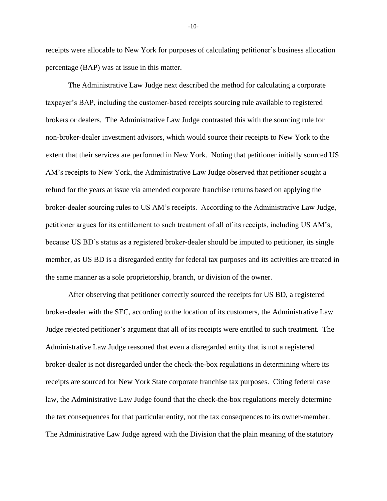receipts were allocable to New York for purposes of calculating petitioner's business allocation percentage (BAP) was at issue in this matter.

The Administrative Law Judge next described the method for calculating a corporate taxpayer's BAP, including the customer-based receipts sourcing rule available to registered brokers or dealers. The Administrative Law Judge contrasted this with the sourcing rule for non-broker-dealer investment advisors, which would source their receipts to New York to the extent that their services are performed in New York. Noting that petitioner initially sourced US AM's receipts to New York, the Administrative Law Judge observed that petitioner sought a refund for the years at issue via amended corporate franchise returns based on applying the broker-dealer sourcing rules to US AM's receipts. According to the Administrative Law Judge, petitioner argues for its entitlement to such treatment of all of its receipts, including US AM's, because US BD's status as a registered broker-dealer should be imputed to petitioner, its single member, as US BD is a disregarded entity for federal tax purposes and its activities are treated in the same manner as a sole proprietorship, branch, or division of the owner.

After observing that petitioner correctly sourced the receipts for US BD, a registered broker-dealer with the SEC, according to the location of its customers, the Administrative Law Judge rejected petitioner's argument that all of its receipts were entitled to such treatment. The Administrative Law Judge reasoned that even a disregarded entity that is not a registered broker-dealer is not disregarded under the check-the-box regulations in determining where its receipts are sourced for New York State corporate franchise tax purposes. Citing federal case law, the Administrative Law Judge found that the check-the-box regulations merely determine the tax consequences for that particular entity, not the tax consequences to its owner-member. The Administrative Law Judge agreed with the Division that the plain meaning of the statutory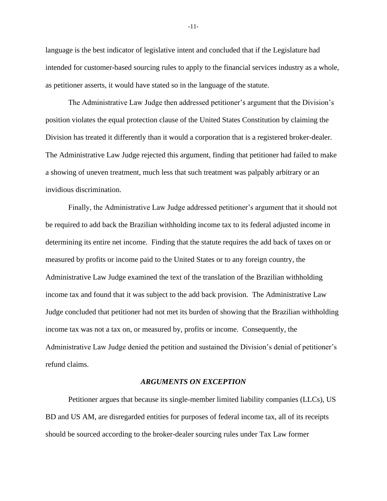language is the best indicator of legislative intent and concluded that if the Legislature had intended for customer-based sourcing rules to apply to the financial services industry as a whole, as petitioner asserts, it would have stated so in the language of the statute.

The Administrative Law Judge then addressed petitioner's argument that the Division's position violates the equal protection clause of the United States Constitution by claiming the Division has treated it differently than it would a corporation that is a registered broker-dealer. The Administrative Law Judge rejected this argument, finding that petitioner had failed to make a showing of uneven treatment, much less that such treatment was palpably arbitrary or an invidious discrimination.

Finally, the Administrative Law Judge addressed petitioner's argument that it should not be required to add back the Brazilian withholding income tax to its federal adjusted income in determining its entire net income. Finding that the statute requires the add back of taxes on or measured by profits or income paid to the United States or to any foreign country, the Administrative Law Judge examined the text of the translation of the Brazilian withholding income tax and found that it was subject to the add back provision. The Administrative Law Judge concluded that petitioner had not met its burden of showing that the Brazilian withholding income tax was not a tax on, or measured by, profits or income. Consequently, the Administrative Law Judge denied the petition and sustained the Division's denial of petitioner's refund claims.

### *ARGUMENTS ON EXCEPTION*

Petitioner argues that because its single-member limited liability companies (LLCs), US BD and US AM, are disregarded entities for purposes of federal income tax, all of its receipts should be sourced according to the broker-dealer sourcing rules under Tax Law former

-11-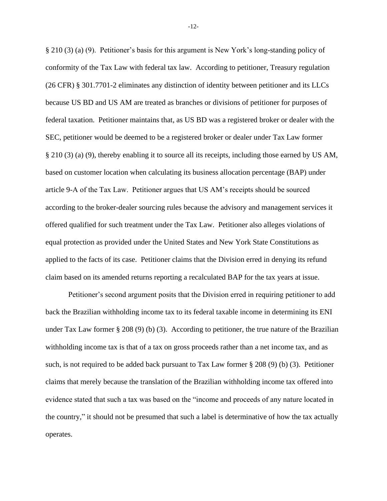§ 210 (3) (a) (9). Petitioner's basis for this argument is New York's long-standing policy of conformity of the Tax Law with federal tax law. According to petitioner, Treasury regulation (26 CFR) § 301.7701-2 eliminates any distinction of identity between petitioner and its LLCs because US BD and US AM are treated as branches or divisions of petitioner for purposes of federal taxation. Petitioner maintains that, as US BD was a registered broker or dealer with the SEC, petitioner would be deemed to be a registered broker or dealer under Tax Law former § 210 (3) (a) (9), thereby enabling it to source all its receipts, including those earned by US AM, based on customer location when calculating its business allocation percentage (BAP) under article 9-A of the Tax Law. Petitioner argues that US AM's receipts should be sourced according to the broker-dealer sourcing rules because the advisory and management services it offered qualified for such treatment under the Tax Law. Petitioner also alleges violations of equal protection as provided under the United States and New York State Constitutions as applied to the facts of its case. Petitioner claims that the Division erred in denying its refund claim based on its amended returns reporting a recalculated BAP for the tax years at issue.

Petitioner's second argument posits that the Division erred in requiring petitioner to add back the Brazilian withholding income tax to its federal taxable income in determining its ENI under Tax Law former § 208 (9) (b) (3). According to petitioner, the true nature of the Brazilian withholding income tax is that of a tax on gross proceeds rather than a net income tax, and as such, is not required to be added back pursuant to Tax Law former  $\S 208 (9)$  (b) (3). Petitioner claims that merely because the translation of the Brazilian withholding income tax offered into evidence stated that such a tax was based on the "income and proceeds of any nature located in the country," it should not be presumed that such a label is determinative of how the tax actually operates.

-12-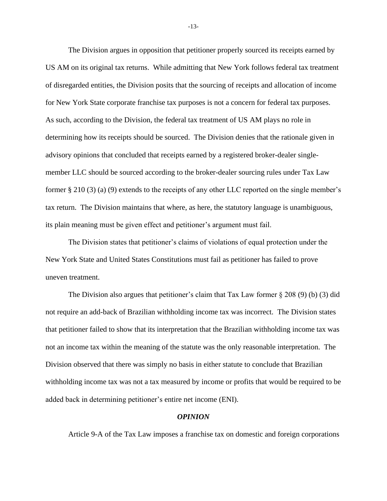The Division argues in opposition that petitioner properly sourced its receipts earned by US AM on its original tax returns. While admitting that New York follows federal tax treatment of disregarded entities, the Division posits that the sourcing of receipts and allocation of income for New York State corporate franchise tax purposes is not a concern for federal tax purposes. As such, according to the Division, the federal tax treatment of US AM plays no role in determining how its receipts should be sourced. The Division denies that the rationale given in advisory opinions that concluded that receipts earned by a registered broker-dealer singlemember LLC should be sourced according to the broker-dealer sourcing rules under Tax Law former § 210 (3) (a) (9) extends to the receipts of any other LLC reported on the single member's tax return. The Division maintains that where, as here, the statutory language is unambiguous, its plain meaning must be given effect and petitioner's argument must fail.

The Division states that petitioner's claims of violations of equal protection under the New York State and United States Constitutions must fail as petitioner has failed to prove uneven treatment.

The Division also argues that petitioner's claim that Tax Law former  $\S 208 (9)$  (b) (3) did not require an add-back of Brazilian withholding income tax was incorrect. The Division states that petitioner failed to show that its interpretation that the Brazilian withholding income tax was not an income tax within the meaning of the statute was the only reasonable interpretation. The Division observed that there was simply no basis in either statute to conclude that Brazilian withholding income tax was not a tax measured by income or profits that would be required to be added back in determining petitioner's entire net income (ENI).

### *OPINION*

Article 9-A of the Tax Law imposes a franchise tax on domestic and foreign corporations

-13-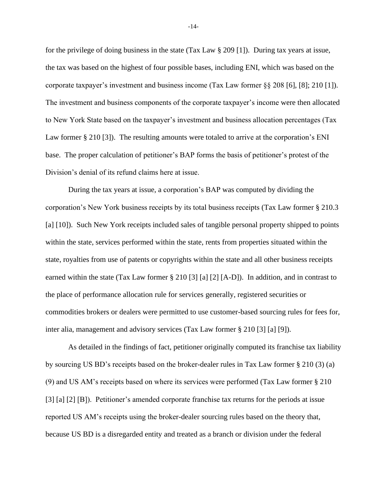for the privilege of doing business in the state (Tax Law § 209 [1]). During tax years at issue, the tax was based on the highest of four possible bases, including ENI, which was based on the corporate taxpayer's investment and business income (Tax Law former  $\S$ § 208 [6], [8]; 210 [1]). The investment and business components of the corporate taxpayer's income were then allocated to New York State based on the taxpayer's investment and business allocation percentages (Tax Law former § 210 [3]). The resulting amounts were totaled to arrive at the corporation's ENI base. The proper calculation of petitioner's BAP forms the basis of petitioner's protest of the Division's denial of its refund claims here at issue.

During the tax years at issue, a corporation's BAP was computed by dividing the corporation's New York business receipts by its total business receipts (Tax Law former § 210.3 [a] [10]). Such New York receipts included sales of tangible personal property shipped to points within the state, services performed within the state, rents from properties situated within the state, royalties from use of patents or copyrights within the state and all other business receipts earned within the state (Tax Law former § 210 [3] [a] [2] [A-D]). In addition, and in contrast to the place of performance allocation rule for services generally, registered securities or commodities brokers or dealers were permitted to use customer-based sourcing rules for fees for, inter alia, management and advisory services (Tax Law former § 210 [3] [a] [9]).

As detailed in the findings of fact, petitioner originally computed its franchise tax liability by sourcing US BD's receipts based on the broker-dealer rules in Tax Law former § 210 (3) (a) (9) and US AM's receipts based on where its services were performed (Tax Law former § 210 [3] [a] [2] [B]). Petitioner's amended corporate franchise tax returns for the periods at issue reported US AM's receipts using the broker-dealer sourcing rules based on the theory that, because US BD is a disregarded entity and treated as a branch or division under the federal

-14-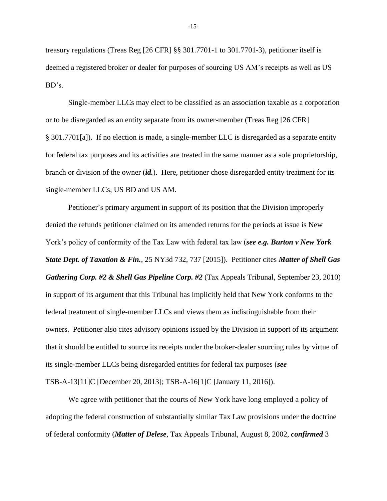treasury regulations (Treas Reg [26 CFR] §§ 301.7701-1 to 301.7701-3), petitioner itself is deemed a registered broker or dealer for purposes of sourcing US AM's receipts as well as US BD's.

Single-member LLCs may elect to be classified as an association taxable as a corporation or to be disregarded as an entity separate from its owner-member (Treas Reg [26 CFR] § 301.7701[a]). If no election is made, a single-member LLC is disregarded as a separate entity for federal tax purposes and its activities are treated in the same manner as a sole proprietorship, branch or division of the owner (*id.*). Here, petitioner chose disregarded entity treatment for its single-member LLCs, US BD and US AM.

Petitioner's primary argument in support of its position that the Division improperly denied the refunds petitioner claimed on its amended returns for the periods at issue is New York's policy of conformity of the Tax Law with federal tax law (*see e.g. Burton v New York State Dept. of Taxation & Fin.*, 25 NY3d 732, 737 [2015]). Petitioner cites *Matter of Shell Gas Gathering Corp. #2 & Shell Gas Pipeline Corp. #2* (Tax Appeals Tribunal, September 23, 2010) in support of its argument that this Tribunal has implicitly held that New York conforms to the federal treatment of single-member LLCs and views them as indistinguishable from their owners. Petitioner also cites advisory opinions issued by the Division in support of its argument that it should be entitled to source its receipts under the broker-dealer sourcing rules by virtue of its single-member LLCs being disregarded entities for federal tax purposes (*see* TSB-A-13[11]C [December 20, 2013]; TSB-A-16[1]C [January 11, 2016]).

We agree with petitioner that the courts of New York have long employed a policy of adopting the federal construction of substantially similar Tax Law provisions under the doctrine of federal conformity (*Matter of Delese*, Tax Appeals Tribunal, August 8, 2002, *confirmed* 3

-15-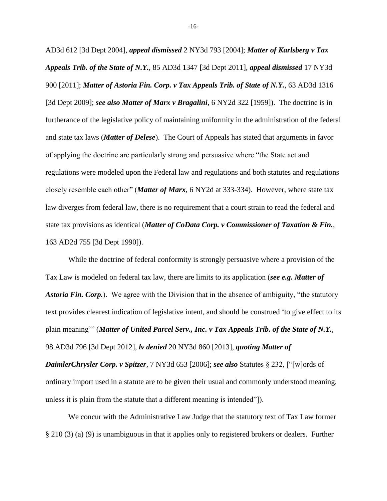AD3d 612 [3d Dept 2004], *appeal dismissed* 2 NY3d 793 [2004]; *Matter of Karlsberg v Tax Appeals Trib. of the State of N.Y.*, 85 AD3d 1347 [3d Dept 2011], *appeal dismissed* 17 NY3d 900 [2011]; *Matter of Astoria Fin. Corp. v Tax Appeals Trib. of State of N.Y.*, 63 AD3d 1316 [3d Dept 2009]; *see also Matter of Marx v Bragalini*, 6 NY2d 322 [1959]). The doctrine is in furtherance of the legislative policy of maintaining uniformity in the administration of the federal and state tax laws (*Matter of Delese*). The Court of Appeals has stated that arguments in favor of applying the doctrine are particularly strong and persuasive where "the State act and regulations were modeled upon the Federal law and regulations and both statutes and regulations closely resemble each other" (*Matter of Marx*, 6 NY2d at 333-334). However, where state tax law diverges from federal law, there is no requirement that a court strain to read the federal and state tax provisions as identical (*Matter of CoData Corp. v Commissioner of Taxation & Fin.*, 163 AD2d 755 [3d Dept 1990]).

While the doctrine of federal conformity is strongly persuasive where a provision of the Tax Law is modeled on federal tax law, there are limits to its application (*see e.g. Matter of Astoria Fin. Corp.*). We agree with the Division that in the absence of ambiguity, "the statutory text provides clearest indication of legislative intent, and should be construed 'to give effect to its plain meaning'" (*Matter of United Parcel Serv., Inc. v Tax Appeals Trib. of the State of N.Y.*, 98 AD3d 796 [3d Dept 2012], *lv denied* 20 NY3d 860 [2013], *quoting Matter of DaimlerChrysler Corp. v Spitzer*, 7 NY3d 653 [2006]; *see also* Statutes § 232, ["[w]ords of ordinary import used in a statute are to be given their usual and commonly understood meaning, unless it is plain from the statute that a different meaning is intended"]).

We concur with the Administrative Law Judge that the statutory text of Tax Law former § 210 (3) (a) (9) is unambiguous in that it applies only to registered brokers or dealers. Further

-16-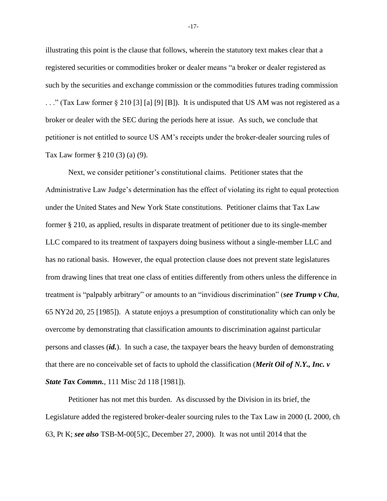illustrating this point is the clause that follows, wherein the statutory text makes clear that a registered securities or commodities broker or dealer means "a broker or dealer registered as such by the securities and exchange commission or the commodities futures trading commission . . ." (Tax Law former § 210 [3] [a] [9] [B]). It is undisputed that US AM was not registered as a broker or dealer with the SEC during the periods here at issue. As such, we conclude that petitioner is not entitled to source US AM's receipts under the broker-dealer sourcing rules of Tax Law former § 210 (3) (a) (9).

Next, we consider petitioner's constitutional claims. Petitioner states that the Administrative Law Judge's determination has the effect of violating its right to equal protection under the United States and New York State constitutions. Petitioner claims that Tax Law former § 210, as applied, results in disparate treatment of petitioner due to its single-member LLC compared to its treatment of taxpayers doing business without a single-member LLC and has no rational basis. However, the equal protection clause does not prevent state legislatures from drawing lines that treat one class of entities differently from others unless the difference in treatment is "palpably arbitrary" or amounts to an "invidious discrimination" (*see Trump v Chu*, 65 NY2d 20, 25 [1985]). A statute enjoys a presumption of constitutionality which can only be overcome by demonstrating that classification amounts to discrimination against particular persons and classes (*id.*). In such a case, the taxpayer bears the heavy burden of demonstrating that there are no conceivable set of facts to uphold the classification (*Merit Oil of N.Y., Inc. v State Tax Commn.*, 111 Misc 2d 118 [1981]).

Petitioner has not met this burden. As discussed by the Division in its brief, the Legislature added the registered broker-dealer sourcing rules to the Tax Law in 2000 (L 2000, ch 63, Pt K; *see also* TSB-M-00[5]C, December 27, 2000). It was not until 2014 that the

-17-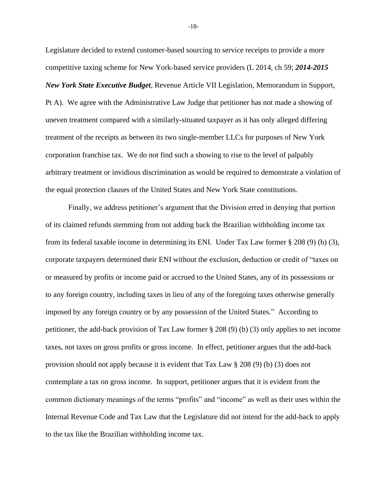Legislature decided to extend customer-based sourcing to service receipts to provide a more competitive taxing scheme for New York-based service providers (L 2014, ch 59; *2014-2015 New York State Executive Budget*, Revenue Article VII Legislation, Memorandum in Support, Pt A). We agree with the Administrative Law Judge that petitioner has not made a showing of uneven treatment compared with a similarly-situated taxpayer as it has only alleged differing treatment of the receipts as between its two single-member LLCs for purposes of New York corporation franchise tax. We do not find such a showing to rise to the level of palpably arbitrary treatment or invidious discrimination as would be required to demonstrate a violation of the equal protection clauses of the United States and New York State constitutions.

Finally, we address petitioner's argument that the Division erred in denying that portion of its claimed refunds stemming from not adding back the Brazilian withholding income tax from its federal taxable income in determining its ENI. Under Tax Law former § 208 (9) (b) (3), corporate taxpayers determined their ENI without the exclusion, deduction or credit of "taxes on or measured by profits or income paid or accrued to the United States, any of its possessions or to any foreign country, including taxes in lieu of any of the foregoing taxes otherwise generally imposed by any foreign country or by any possession of the United States." According to petitioner, the add-back provision of Tax Law former § 208 (9) (b) (3) only applies to net income taxes, not taxes on gross profits or gross income. In effect, petitioner argues that the add-back provision should not apply because it is evident that Tax Law § 208 (9) (b) (3) does not contemplate a tax on gross income. In support, petitioner argues that it is evident from the common dictionary meanings of the terms "profits" and "income" as well as their uses within the Internal Revenue Code and Tax Law that the Legislature did not intend for the add-back to apply to the tax like the Brazilian withholding income tax.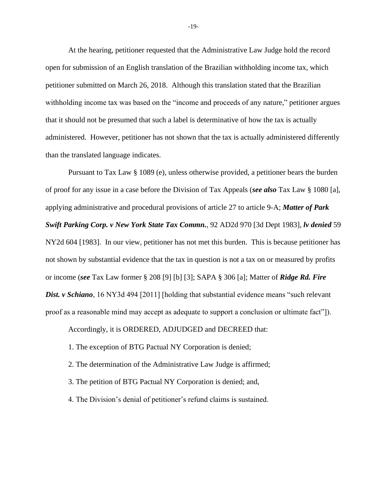At the hearing, petitioner requested that the Administrative Law Judge hold the record open for submission of an English translation of the Brazilian withholding income tax, which petitioner submitted on March 26, 2018. Although this translation stated that the Brazilian withholding income tax was based on the "income and proceeds of any nature," petitioner argues that it should not be presumed that such a label is determinative of how the tax is actually administered. However, petitioner has not shown that the tax is actually administered differently than the translated language indicates.

Pursuant to Tax Law § 1089 (e), unless otherwise provided, a petitioner bears the burden of proof for any issue in a case before the Division of Tax Appeals (*see also* Tax Law § 1080 [a], applying administrative and procedural provisions of article 27 to article 9-A; *Matter of Park Swift Parking Corp. v New York State Tax Commn.*, 92 AD2d 970 [3d Dept 1983], *lv denied* 59 NY2d 604 [1983]. In our view, petitioner has not met this burden. This is because petitioner has not shown by substantial evidence that the tax in question is not a tax on or measured by profits or income (*see* Tax Law former § 208 [9] [b] [3]; SAPA § 306 [a]; Matter of *Ridge Rd. Fire*  **Dist. v Schiano**, 16 NY3d 494 [2011] [holding that substantial evidence means "such relevant" proof as a reasonable mind may accept as adequate to support a conclusion or ultimate fact"]).

Accordingly, it is ORDERED, ADJUDGED and DECREED that:

- 1. The exception of BTG Pactual NY Corporation is denied;
- 2. The determination of the Administrative Law Judge is affirmed;
- 3. The petition of BTG Pactual NY Corporation is denied; and,
- 4. The Division's denial of petitioner's refund claims is sustained.

-19-